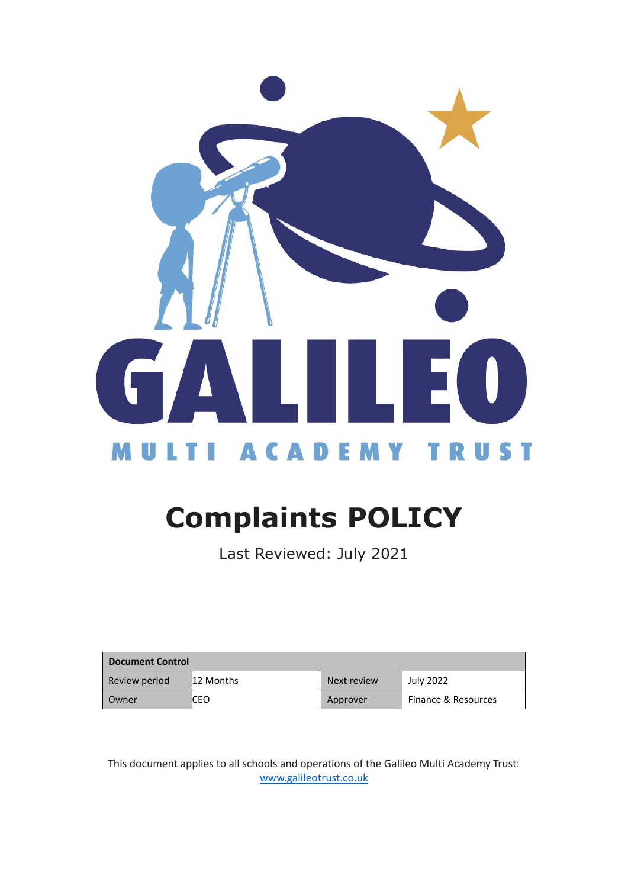

# **Complaints POLICY**

Last Reviewed: July 2021

| <b>Document Control</b> |           |             |                     |  |
|-------------------------|-----------|-------------|---------------------|--|
| Review period           | 12 Months | Next review | <b>July 2022</b>    |  |
| Owner                   | CEO       | Approver    | Finance & Resources |  |

This document applies to all schools and operations of the Galileo Multi Academy Trust: [www.galileotrust.co.uk](http://www.galileotrust.co.uk/)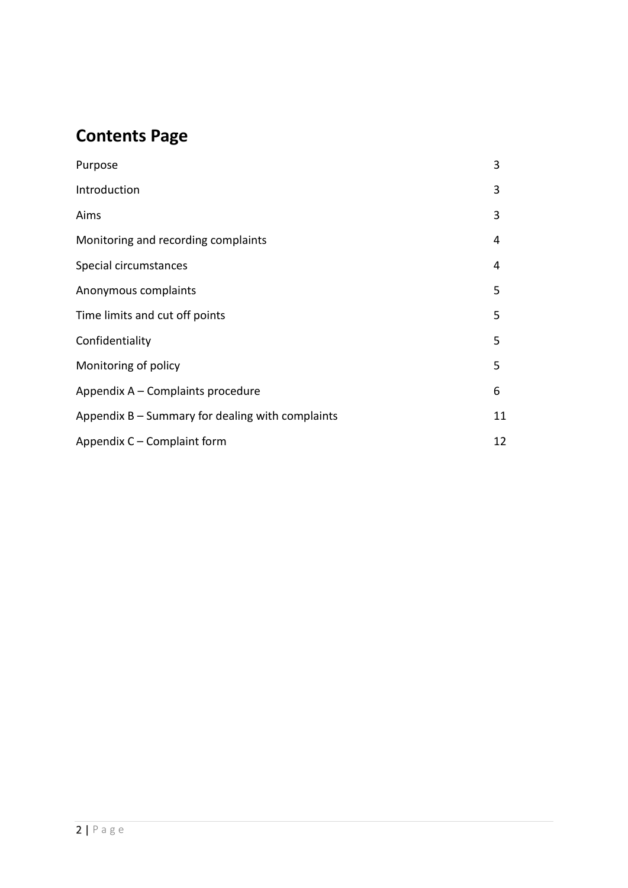# **Contents Page**

| Purpose                                            | 3  |
|----------------------------------------------------|----|
| Introduction                                       | 3  |
| Aims                                               | 3  |
| Monitoring and recording complaints                | 4  |
| Special circumstances                              | 4  |
| Anonymous complaints                               | 5  |
| Time limits and cut off points                     | 5  |
| Confidentiality                                    | 5  |
| Monitoring of policy                               | 5  |
| Appendix A - Complaints procedure                  | 6  |
| Appendix $B -$ Summary for dealing with complaints | 11 |
| Appendix C – Complaint form                        | 12 |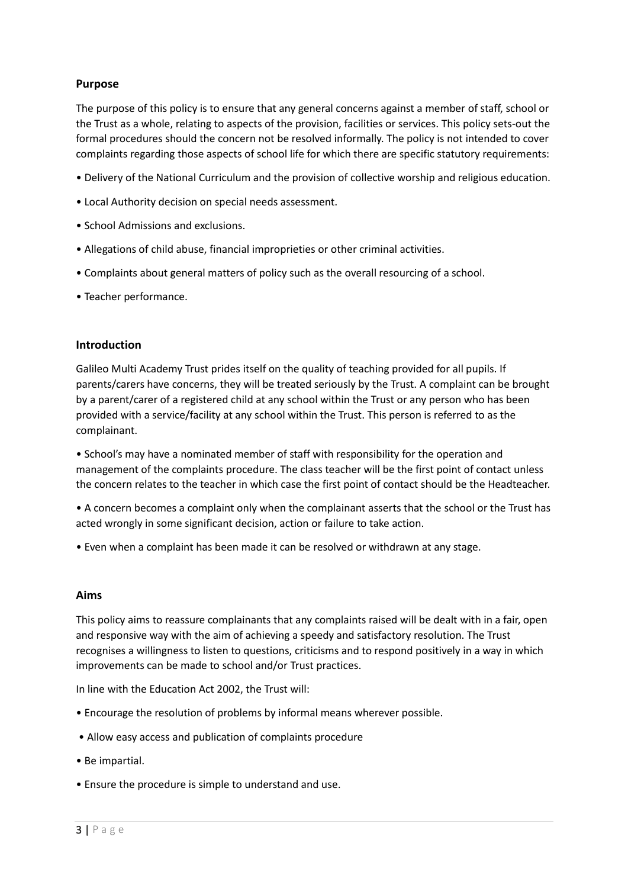#### **Purpose**

The purpose of this policy is to ensure that any general concerns against a member of staff, school or the Trust as a whole, relating to aspects of the provision, facilities or services. This policy sets-out the formal procedures should the concern not be resolved informally. The policy is not intended to cover complaints regarding those aspects of school life for which there are specific statutory requirements:

- Delivery of the National Curriculum and the provision of collective worship and religious education.
- Local Authority decision on special needs assessment.
- School Admissions and exclusions.
- Allegations of child abuse, financial improprieties or other criminal activities.
- Complaints about general matters of policy such as the overall resourcing of a school.
- Teacher performance.

#### **Introduction**

Galileo Multi Academy Trust prides itself on the quality of teaching provided for all pupils. If parents/carers have concerns, they will be treated seriously by the Trust. A complaint can be brought by a parent/carer of a registered child at any school within the Trust or any person who has been provided with a service/facility at any school within the Trust. This person is referred to as the complainant.

• School's may have a nominated member of staff with responsibility for the operation and management of the complaints procedure. The class teacher will be the first point of contact unless the concern relates to the teacher in which case the first point of contact should be the Headteacher.

• A concern becomes a complaint only when the complainant asserts that the school or the Trust has acted wrongly in some significant decision, action or failure to take action.

• Even when a complaint has been made it can be resolved or withdrawn at any stage.

#### **Aims**

This policy aims to reassure complainants that any complaints raised will be dealt with in a fair, open and responsive way with the aim of achieving a speedy and satisfactory resolution. The Trust recognises a willingness to listen to questions, criticisms and to respond positively in a way in which improvements can be made to school and/or Trust practices.

In line with the Education Act 2002, the Trust will:

- Encourage the resolution of problems by informal means wherever possible.
- Allow easy access and publication of complaints procedure
- Be impartial.
- Ensure the procedure is simple to understand and use.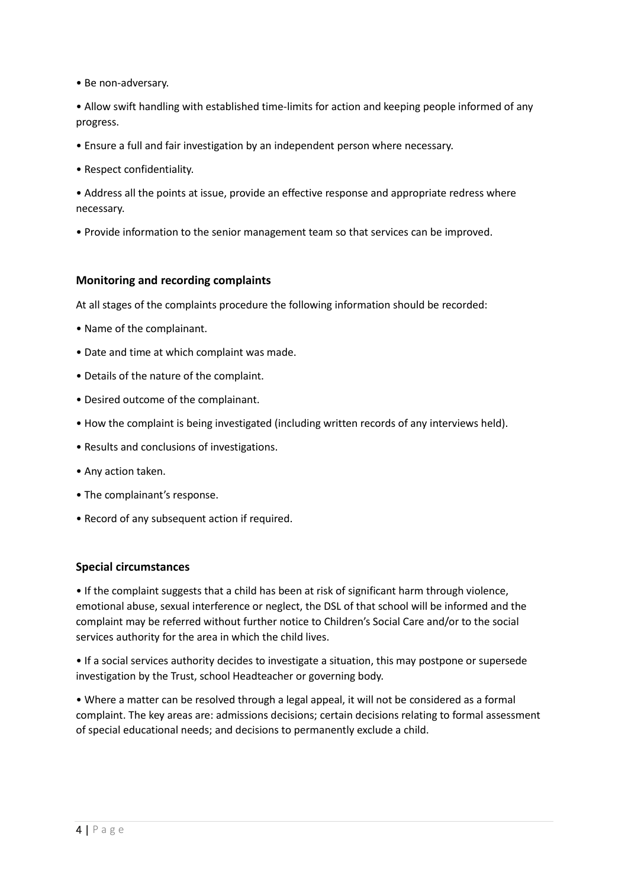• Be non-adversary.

• Allow swift handling with established time-limits for action and keeping people informed of any progress.

- Ensure a full and fair investigation by an independent person where necessary.
- Respect confidentiality.

• Address all the points at issue, provide an effective response and appropriate redress where necessary.

• Provide information to the senior management team so that services can be improved.

#### **Monitoring and recording complaints**

At all stages of the complaints procedure the following information should be recorded:

- Name of the complainant.
- Date and time at which complaint was made.
- Details of the nature of the complaint.
- Desired outcome of the complainant.
- How the complaint is being investigated (including written records of any interviews held).
- Results and conclusions of investigations.
- Any action taken.
- The complainant's response.
- Record of any subsequent action if required.

#### **Special circumstances**

• If the complaint suggests that a child has been at risk of significant harm through violence, emotional abuse, sexual interference or neglect, the DSL of that school will be informed and the complaint may be referred without further notice to Children's Social Care and/or to the social services authority for the area in which the child lives.

• If a social services authority decides to investigate a situation, this may postpone or supersede investigation by the Trust, school Headteacher or governing body.

• Where a matter can be resolved through a legal appeal, it will not be considered as a formal complaint. The key areas are: admissions decisions; certain decisions relating to formal assessment of special educational needs; and decisions to permanently exclude a child.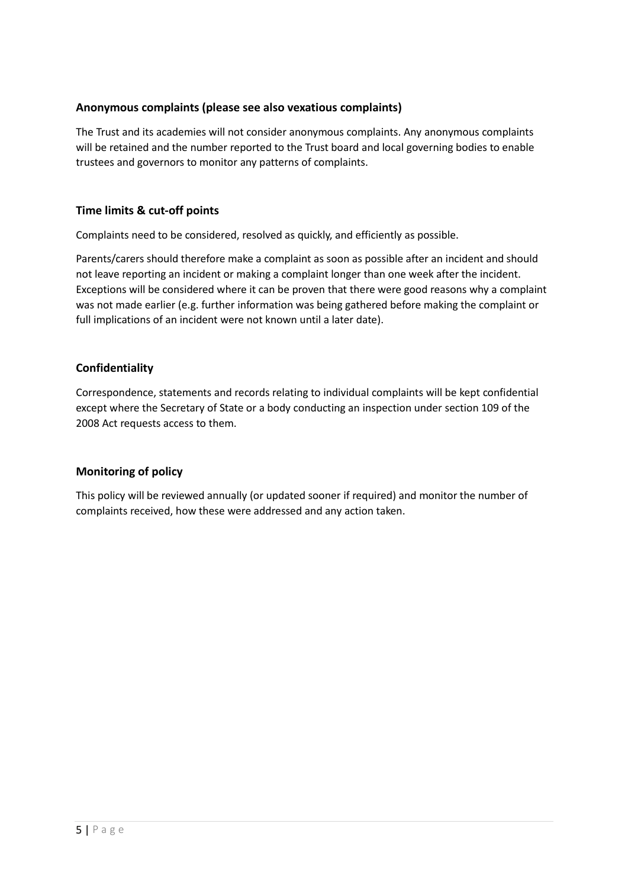#### **Anonymous complaints (please see also vexatious complaints)**

The Trust and its academies will not consider anonymous complaints. Any anonymous complaints will be retained and the number reported to the Trust board and local governing bodies to enable trustees and governors to monitor any patterns of complaints.

#### **Time limits & cut-off points**

Complaints need to be considered, resolved as quickly, and efficiently as possible.

Parents/carers should therefore make a complaint as soon as possible after an incident and should not leave reporting an incident or making a complaint longer than one week after the incident. Exceptions will be considered where it can be proven that there were good reasons why a complaint was not made earlier (e.g. further information was being gathered before making the complaint or full implications of an incident were not known until a later date).

#### **Confidentiality**

Correspondence, statements and records relating to individual complaints will be kept confidential except where the Secretary of State or a body conducting an inspection under section 109 of the 2008 Act requests access to them.

#### **Monitoring of policy**

This policy will be reviewed annually (or updated sooner if required) and monitor the number of complaints received, how these were addressed and any action taken.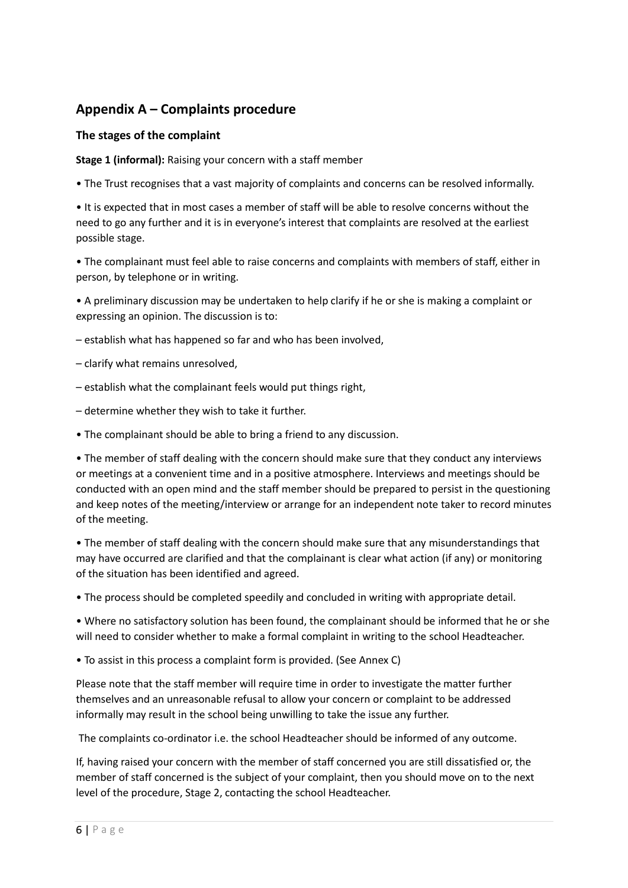## **Appendix A – Complaints procedure**

#### **The stages of the complaint**

**Stage 1 (informal):** Raising your concern with a staff member

• The Trust recognises that a vast majority of complaints and concerns can be resolved informally.

• It is expected that in most cases a member of staff will be able to resolve concerns without the need to go any further and it is in everyone's interest that complaints are resolved at the earliest possible stage.

• The complainant must feel able to raise concerns and complaints with members of staff, either in person, by telephone or in writing.

• A preliminary discussion may be undertaken to help clarify if he or she is making a complaint or expressing an opinion. The discussion is to:

– establish what has happened so far and who has been involved,

– clarify what remains unresolved,

- establish what the complainant feels would put things right,
- determine whether they wish to take it further.
- The complainant should be able to bring a friend to any discussion.

• The member of staff dealing with the concern should make sure that they conduct any interviews or meetings at a convenient time and in a positive atmosphere. Interviews and meetings should be conducted with an open mind and the staff member should be prepared to persist in the questioning and keep notes of the meeting/interview or arrange for an independent note taker to record minutes of the meeting.

• The member of staff dealing with the concern should make sure that any misunderstandings that may have occurred are clarified and that the complainant is clear what action (if any) or monitoring of the situation has been identified and agreed.

• The process should be completed speedily and concluded in writing with appropriate detail.

• Where no satisfactory solution has been found, the complainant should be informed that he or she will need to consider whether to make a formal complaint in writing to the school Headteacher.

• To assist in this process a complaint form is provided. (See Annex C)

Please note that the staff member will require time in order to investigate the matter further themselves and an unreasonable refusal to allow your concern or complaint to be addressed informally may result in the school being unwilling to take the issue any further.

The complaints co-ordinator i.e. the school Headteacher should be informed of any outcome.

If, having raised your concern with the member of staff concerned you are still dissatisfied or, the member of staff concerned is the subject of your complaint, then you should move on to the next level of the procedure, Stage 2, contacting the school Headteacher.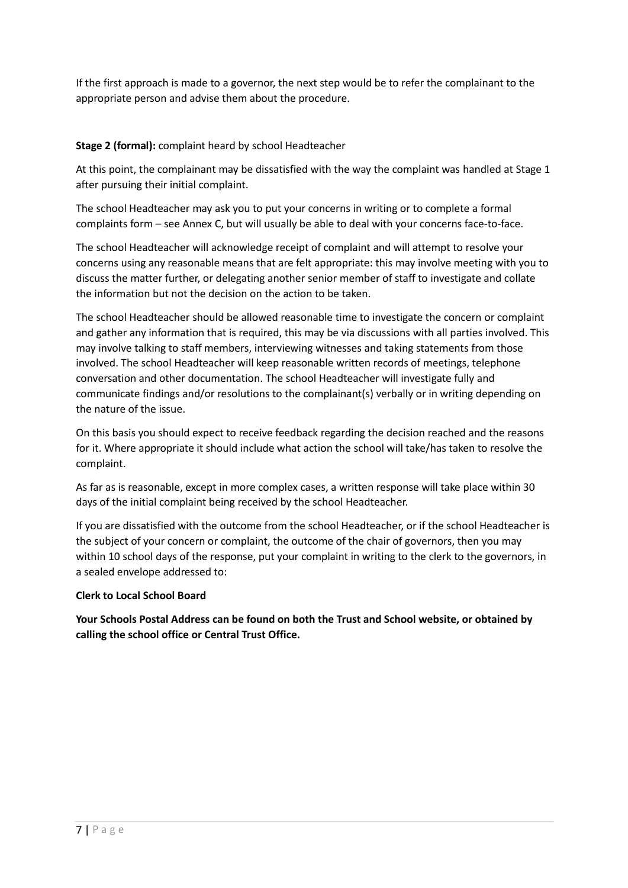If the first approach is made to a governor, the next step would be to refer the complainant to the appropriate person and advise them about the procedure.

#### **Stage 2 (formal):** complaint heard by school Headteacher

At this point, the complainant may be dissatisfied with the way the complaint was handled at Stage 1 after pursuing their initial complaint.

The school Headteacher may ask you to put your concerns in writing or to complete a formal complaints form – see Annex C, but will usually be able to deal with your concerns face-to-face.

The school Headteacher will acknowledge receipt of complaint and will attempt to resolve your concerns using any reasonable means that are felt appropriate: this may involve meeting with you to discuss the matter further, or delegating another senior member of staff to investigate and collate the information but not the decision on the action to be taken.

The school Headteacher should be allowed reasonable time to investigate the concern or complaint and gather any information that is required, this may be via discussions with all parties involved. This may involve talking to staff members, interviewing witnesses and taking statements from those involved. The school Headteacher will keep reasonable written records of meetings, telephone conversation and other documentation. The school Headteacher will investigate fully and communicate findings and/or resolutions to the complainant(s) verbally or in writing depending on the nature of the issue.

On this basis you should expect to receive feedback regarding the decision reached and the reasons for it. Where appropriate it should include what action the school will take/has taken to resolve the complaint.

As far as is reasonable, except in more complex cases, a written response will take place within 30 days of the initial complaint being received by the school Headteacher.

If you are dissatisfied with the outcome from the school Headteacher, or if the school Headteacher is the subject of your concern or complaint, the outcome of the chair of governors, then you may within 10 school days of the response, put your complaint in writing to the clerk to the governors, in a sealed envelope addressed to:

#### **Clerk to Local School Board**

**Your Schools Postal Address can be found on both the Trust and School website, or obtained by calling the school office or Central Trust Office.**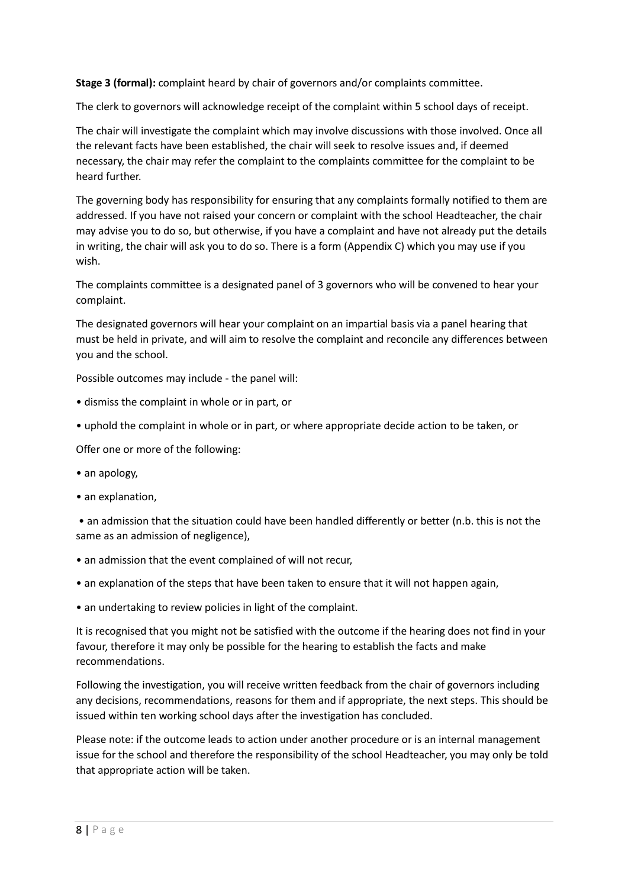**Stage 3 (formal):** complaint heard by chair of governors and/or complaints committee.

The clerk to governors will acknowledge receipt of the complaint within 5 school days of receipt.

The chair will investigate the complaint which may involve discussions with those involved. Once all the relevant facts have been established, the chair will seek to resolve issues and, if deemed necessary, the chair may refer the complaint to the complaints committee for the complaint to be heard further.

The governing body has responsibility for ensuring that any complaints formally notified to them are addressed. If you have not raised your concern or complaint with the school Headteacher, the chair may advise you to do so, but otherwise, if you have a complaint and have not already put the details in writing, the chair will ask you to do so. There is a form (Appendix C) which you may use if you wish.

The complaints committee is a designated panel of 3 governors who will be convened to hear your complaint.

The designated governors will hear your complaint on an impartial basis via a panel hearing that must be held in private, and will aim to resolve the complaint and reconcile any differences between you and the school.

Possible outcomes may include - the panel will:

- dismiss the complaint in whole or in part, or
- uphold the complaint in whole or in part, or where appropriate decide action to be taken, or

Offer one or more of the following:

- an apology,
- an explanation,

• an admission that the situation could have been handled differently or better (n.b. this is not the same as an admission of negligence),

- an admission that the event complained of will not recur,
- an explanation of the steps that have been taken to ensure that it will not happen again,
- an undertaking to review policies in light of the complaint.

It is recognised that you might not be satisfied with the outcome if the hearing does not find in your favour, therefore it may only be possible for the hearing to establish the facts and make recommendations.

Following the investigation, you will receive written feedback from the chair of governors including any decisions, recommendations, reasons for them and if appropriate, the next steps. This should be issued within ten working school days after the investigation has concluded.

Please note: if the outcome leads to action under another procedure or is an internal management issue for the school and therefore the responsibility of the school Headteacher, you may only be told that appropriate action will be taken.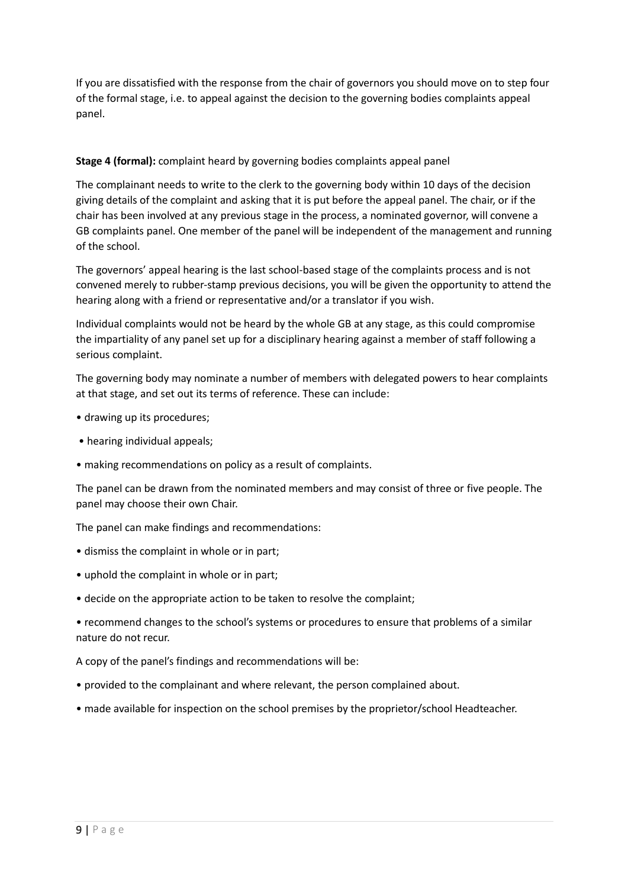If you are dissatisfied with the response from the chair of governors you should move on to step four of the formal stage, i.e. to appeal against the decision to the governing bodies complaints appeal panel.

#### **Stage 4 (formal):** complaint heard by governing bodies complaints appeal panel

The complainant needs to write to the clerk to the governing body within 10 days of the decision giving details of the complaint and asking that it is put before the appeal panel. The chair, or if the chair has been involved at any previous stage in the process, a nominated governor, will convene a GB complaints panel. One member of the panel will be independent of the management and running of the school.

The governors' appeal hearing is the last school-based stage of the complaints process and is not convened merely to rubber-stamp previous decisions, you will be given the opportunity to attend the hearing along with a friend or representative and/or a translator if you wish.

Individual complaints would not be heard by the whole GB at any stage, as this could compromise the impartiality of any panel set up for a disciplinary hearing against a member of staff following a serious complaint.

The governing body may nominate a number of members with delegated powers to hear complaints at that stage, and set out its terms of reference. These can include:

- drawing up its procedures;
- hearing individual appeals;
- making recommendations on policy as a result of complaints.

The panel can be drawn from the nominated members and may consist of three or five people. The panel may choose their own Chair.

The panel can make findings and recommendations:

- dismiss the complaint in whole or in part;
- uphold the complaint in whole or in part;
- decide on the appropriate action to be taken to resolve the complaint;
- recommend changes to the school's systems or procedures to ensure that problems of a similar nature do not recur.

A copy of the panel's findings and recommendations will be:

- provided to the complainant and where relevant, the person complained about.
- made available for inspection on the school premises by the proprietor/school Headteacher.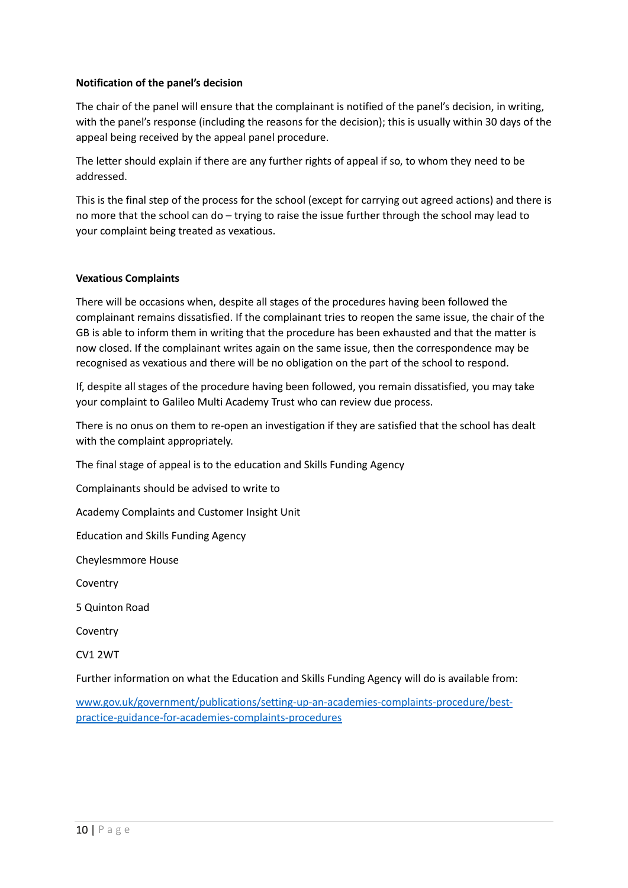#### **Notification of the panel's decision**

The chair of the panel will ensure that the complainant is notified of the panel's decision, in writing, with the panel's response (including the reasons for the decision); this is usually within 30 days of the appeal being received by the appeal panel procedure.

The letter should explain if there are any further rights of appeal if so, to whom they need to be addressed.

This is the final step of the process for the school (except for carrying out agreed actions) and there is no more that the school can do – trying to raise the issue further through the school may lead to your complaint being treated as vexatious.

#### **Vexatious Complaints**

There will be occasions when, despite all stages of the procedures having been followed the complainant remains dissatisfied. If the complainant tries to reopen the same issue, the chair of the GB is able to inform them in writing that the procedure has been exhausted and that the matter is now closed. If the complainant writes again on the same issue, then the correspondence may be recognised as vexatious and there will be no obligation on the part of the school to respond.

If, despite all stages of the procedure having been followed, you remain dissatisfied, you may take your complaint to Galileo Multi Academy Trust who can review due process.

There is no onus on them to re-open an investigation if they are satisfied that the school has dealt with the complaint appropriately.

The final stage of appeal is to the education and Skills Funding Agency

Complainants should be advised to write to

Academy Complaints and Customer Insight Unit

Education and Skills Funding Agency

Cheylesmmore House

Coventry

5 Quinton Road

Coventry

CV1 2WT

Further information on what the Education and Skills Funding Agency will do is available from:

[www.gov.uk/government/publications/setting-up-an-academies-complaints-procedure/best](http://www.gov.uk/government/publications/setting-up-an-academies-complaints-procedure/best-practice-guidance-for-academies-complaints-procedures)[practice-guidance-for-academies-complaints-procedures](http://www.gov.uk/government/publications/setting-up-an-academies-complaints-procedure/best-practice-guidance-for-academies-complaints-procedures)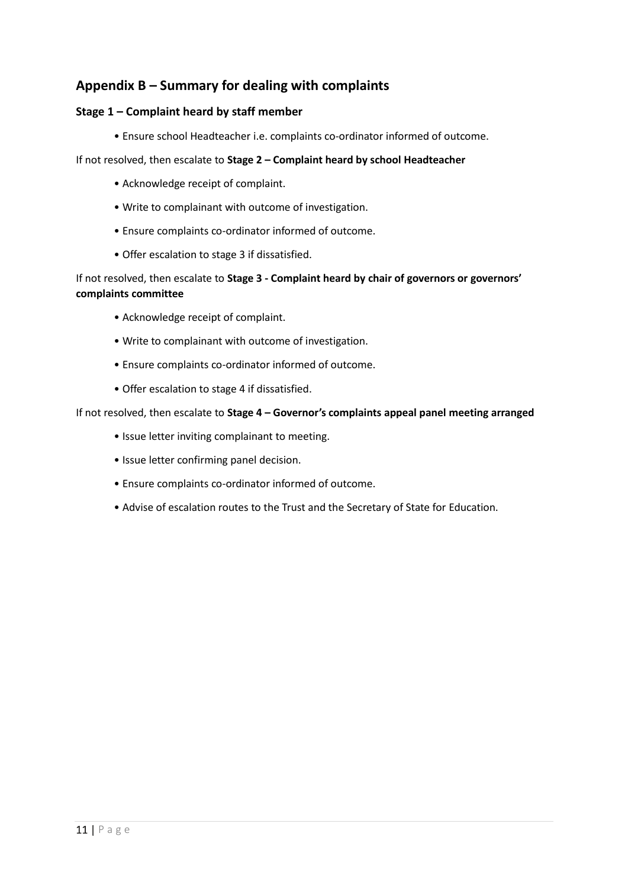### **Appendix B – Summary for dealing with complaints**

#### **Stage 1 – Complaint heard by staff member**

• Ensure school Headteacher i.e. complaints co-ordinator informed of outcome.

#### If not resolved, then escalate to **Stage 2 – Complaint heard by school Headteacher**

- Acknowledge receipt of complaint.
- Write to complainant with outcome of investigation.
- Ensure complaints co-ordinator informed of outcome.
- Offer escalation to stage 3 if dissatisfied.

#### If not resolved, then escalate to **Stage 3 - Complaint heard by chair of governors or governors' complaints committee**

- Acknowledge receipt of complaint.
- Write to complainant with outcome of investigation.
- Ensure complaints co-ordinator informed of outcome.
- Offer escalation to stage 4 if dissatisfied.

#### If not resolved, then escalate to **Stage 4 – Governor's complaints appeal panel meeting arranged**

- Issue letter inviting complainant to meeting.
- Issue letter confirming panel decision.
- Ensure complaints co-ordinator informed of outcome.
- Advise of escalation routes to the Trust and the Secretary of State for Education.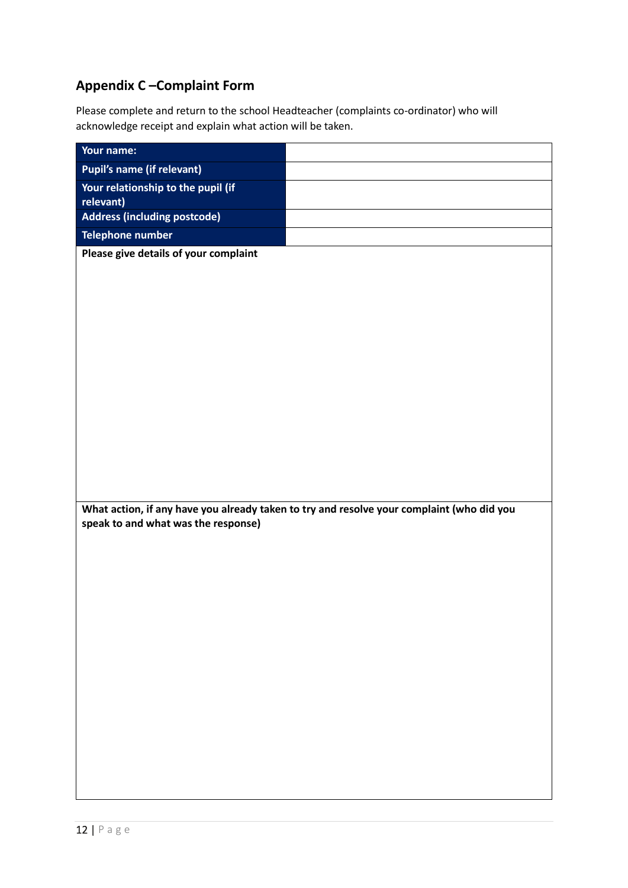# **Appendix C –Complaint Form**

Please complete and return to the school Headteacher (complaints co-ordinator) who will acknowledge receipt and explain what action will be taken.

| Your name:                                                                                |  |
|-------------------------------------------------------------------------------------------|--|
| <b>Pupil's name (if relevant)</b>                                                         |  |
| Your relationship to the pupil (if<br>relevant)                                           |  |
| <b>Address (including postcode)</b>                                                       |  |
| <b>Telephone number</b>                                                                   |  |
| Please give details of your complaint                                                     |  |
|                                                                                           |  |
|                                                                                           |  |
|                                                                                           |  |
|                                                                                           |  |
|                                                                                           |  |
|                                                                                           |  |
|                                                                                           |  |
|                                                                                           |  |
|                                                                                           |  |
|                                                                                           |  |
|                                                                                           |  |
|                                                                                           |  |
| What action, if any have you already taken to try and resolve your complaint (who did you |  |
| speak to and what was the response)                                                       |  |
|                                                                                           |  |
|                                                                                           |  |
|                                                                                           |  |
|                                                                                           |  |
|                                                                                           |  |
|                                                                                           |  |
|                                                                                           |  |
|                                                                                           |  |
|                                                                                           |  |
|                                                                                           |  |
|                                                                                           |  |
|                                                                                           |  |
|                                                                                           |  |
|                                                                                           |  |